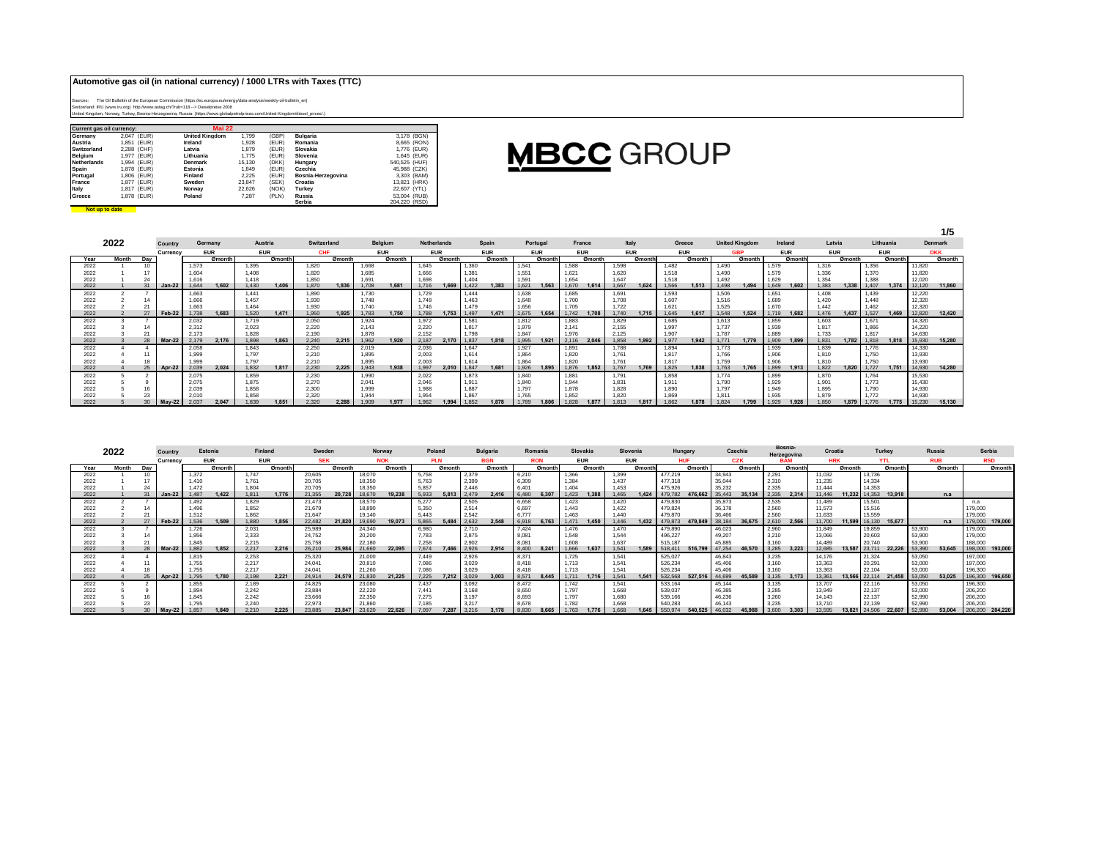## **Automotive gas oil (in national currency) / 1000 LTRs with Taxes (TTC)**

Sources: The Oil Bullettin of the European Commission (https://ec.europa.eu/energy/data-analysis/weekly-oil-bulletin\_en)<br>Switzerland: IRU (www.iru.org) http://www.astag.ch/?nd>4118 --> Dieselpreise 2008<br>United Kingdom, Nor

**Not up to date** 

| <b>Current gas oil currency:</b> |             | <b>Mai 22</b>         |        |       |                    |               |  |
|----------------------------------|-------------|-----------------------|--------|-------|--------------------|---------------|--|
| Germany                          | 2.047 (EUR) | <b>United Kinadom</b> | 1.799  | (GBP) | Bulgaria           | 3.178 (BGN)   |  |
| Austria                          | 1.851 (EUR) | Ireland               | 1.928  | (EUR) | Romania            | 8,665 (RON)   |  |
| Switzerland                      | 2.288 (CHF) | Latvia                | 1.879  | (EUR) | Slovakia           | 1.776 (EUR)   |  |
| <b>Belaium</b>                   | 1.977 (EUR) | Lithuania             | 1.775  | (EUR) | Slovenia           | 1.645 (EUR)   |  |
| Netherlands                      | 1.994 (EUR) | <b>Denmark</b>        | 15.130 | (DKK) | Hungary            | 540,525 (HUF) |  |
| Spain                            | 1.878 (EUR) | Estonia               | 1.849  | (EUR) | Czechia            | 45,988 (CZK)  |  |
| Portugal                         | 1.806 (EUR) | Finland               | 2.225  | (EUR) | Bosnia-Herzegovina | 3.303 (BAM)   |  |
| France                           | 1.877 (EUR) | Sweden                | 23.847 | (SEK) | Croatia            | 13.821 (HRK)  |  |
| Italy                            | 1.817 (EUR) | Norway                | 22.626 | (NOK) | Turkev             | 22.607 (YTL)  |  |
| Greece                           | 1.878 (EUR) | Poland                | 7.287  | (PLN) | Russia             | 53,004 (RUB)  |  |
|                                  |             |                       |        |       | Serbia             | 204.220 (RSD) |  |

## **MBCC** GROUP

|      |       |        | Switzerland<br>Belgium<br><b>Netherlands</b><br>Austria<br>Portugal<br>France<br>Germany |       |            |       |                         |                         |        |            |        |            |        |            |            |                   |            |          |        |            |               |            |            |                       |        |            |         |            |        | 1/5   |           |        |                |
|------|-------|--------|------------------------------------------------------------------------------------------|-------|------------|-------|-------------------------|-------------------------|--------|------------|--------|------------|--------|------------|------------|-------------------|------------|----------|--------|------------|---------------|------------|------------|-----------------------|--------|------------|---------|------------|--------|-------|-----------|--------|----------------|
|      | 2022  |        | Country                                                                                  |       |            |       |                         |                         |        |            |        |            |        |            | Spain      |                   |            |          |        | Italy      |               |            | Greece     | <b>United Kingdom</b> |        |            | Ireland | Latvia     |        |       | Lithuania |        | <b>Denmark</b> |
|      |       |        | Currency                                                                                 |       | <b>EUR</b> |       | <b>EUR</b>              | <b>EUR</b>              |        | <b>EUR</b> |        | <b>EUR</b> |        | <b>EUR</b> | <b>EUR</b> |                   | <b>EUR</b> |          |        | <b>GBP</b> |               | <b>EUR</b> | <b>EUR</b> |                       |        | <b>EUR</b> |         | <b>DKK</b> |        |       |           |        |                |
| Year | Month | Dav    |                                                                                          |       | Ømonth     |       | Ømonth                  |                         | Ømonth |            | Ømonth |            | Ømonth |            | Ømonth     |                   | Ømonth     |          | Ømonth |            | <b>Ømonth</b> |            | Ømonth     |                       | Ømonth |            | Ømonth  |            | Ømonth |       |           |        |                |
| 2022 |       | 10     |                                                                                          | 1.573 |            | 1.395 | 1.820<br>1.668<br>1.645 |                         |        |            |        |            |        | 1.360      |            | 1.541             |            | 1,588    |        | 1.598      |               | 1.482      |            | 1.490                 |        | 1.579      |         | 1.316      |        | 1,356 |           | 11.820 |                |
| 2022 |       |        |                                                                                          | 1.604 |            | 1.408 |                         | 1,820<br>1.666<br>1.685 |        |            |        |            |        | 1.381      |            | 1,55              |            | 1.621    |        | 1,620      |               | 1,518      |            | 1.490                 |        | 1.579      |         | 1.336      |        | 1.370 |           | 11.820 |                |
| 2022 |       | 24     |                                                                                          | 1.616 |            | 1.418 |                         | 1.850                   |        | 1.69       |        | 1.698      |        | 1.404      |            | 1.59 <sup>°</sup> |            | $1.65 -$ |        | 1.647      |               | 1.518      |            | 1.492                 |        | 1.629      |         | 1.354      |        | 1.388 |           | 12.020 |                |
| 2022 |       | 31     | $Jan-22$                                                                                 | 1.644 | 1.602      | 1.430 | 1.406                   | 1.870                   | 1.836  | 1.708      | 1.681  | 1.716      | 1.669  | 1.422      | 1.383      | 1.621             | 1.563      | 1.670    | 1.614  | 1.667      | 1.624         | 1.566      | 1.513      | 1.498                 | 1.494  | 1.649      | 1.602   | 1.383      | 1.338  | 1.407 | 1.374     | 12.120 | 11.860         |
| 2022 |       |        |                                                                                          | 1.663 |            | 1.441 |                         | 1.890                   |        | 1.730      |        | 1.729      |        | 1.444      |            | 1,638             |            | 1.685    |        | 1.691      |               | 1.593      |            | 1.506                 |        | 1.651      |         | 1.408      |        | 1.439 |           | 12.220 |                |
| 2022 |       |        |                                                                                          | 1.666 |            | 1.457 |                         | 1,930                   |        | 1.748      |        | 1.748      |        | 1.463      |            | 1.648             |            | 1.700    |        | 1.708      |               | 1.607      |            | 1.516                 |        | 1.689      |         | 1.420      |        | 1.448 |           | 12,320 |                |
| 2022 |       |        |                                                                                          | 1.663 |            | 1.464 |                         | 1.930                   |        | 1.740      |        | 1.746      |        | 1.479      |            | 1.656             |            | 1.705    |        | 1.722      |               | 1.621      |            | 1.525                 |        | 1.670      |         | 1.442      |        | 1.462 |           | 12.320 |                |
| 2022 |       | 27     | Feb-22                                                                                   | 1.738 | 1.683      | 1.520 | 1.471                   | 1.950                   | 1.925  | 1.783      | 1.750  | 1.788      | 1.753  | 1.497      | 1.471      | 1.675             | 1.654      | 1.742    | 1.708  | 1.740      | 1.715         | 1.645      | 1.617      | 1.548                 | 1.524  | 1.719      | 1.682   | 1.476      | 1.437  | 1.527 | 1.469     | 12,820 | 12,420         |
| 2022 |       |        |                                                                                          | 2.032 |            | 1.719 |                         | 2.050                   |        | 1.924      |        | 1.972      |        | 1.581      |            | 1.812             |            | 1.883    |        | 1.829      |               | 1.685      |            | 1.613                 |        | 1.859      |         | 1.603      |        | 1.671 |           | 14.320 |                |
| 2022 |       | 14     |                                                                                          | 2.312 |            | 2.023 |                         | 2.220                   |        | 2.143      |        | 2.220      |        | 1.817      |            | 1.979             |            | 2.141    |        | 2.155      |               | 1.997      |            | 1.737                 |        | 1.939      |         | 1.817      |        | 1.866 |           | 14.220 |                |
| 2022 |       | 21     |                                                                                          | 2.173 |            | 1.828 |                         | 2.190                   |        | 1,878      |        | 2.152      |        | 1.798      |            | 1.847             |            | 1.976    |        | 2.125      |               | 1.907      |            | 1.787                 |        | 1.889      |         | 1.733      |        | 1.817 |           | 14.630 |                |
| 2022 |       | 28     | <b>Mar-22</b>                                                                            | 2.179 | 2.176      | 1.898 | 1,863                   | 2.240                   | 2.215  | 1.962      | 1.920  | 2.187      | 2.170  | 1.837      | 1.818      | 1.995             | 1.921      | 2.116    | 2.046  | 1.858      | 1.992         | 1.977      | 1.942      | 1.771                 | 1.779  | 1.909      | 1.899   | 1.831      | 1.782  | 1.818 | 1.818     | 15,930 | 15,280         |
| 2022 |       |        |                                                                                          | 2.058 |            | 1.843 |                         | 2.250                   |        | 2.019      |        | 2.036      |        | 1.647      |            | 1,927             |            | 1.891    |        | 1.788      |               | 1.894      |            | 1,773                 |        | 1.939      |         | 1.839      |        | 1.776 |           | 14.330 |                |
| 2022 |       |        |                                                                                          | 1.999 |            | 1.797 |                         | 2.210                   |        | 1.895      |        | 2.003      |        | 1.614      |            | 1.864             |            | 1.820    |        | 1.761      |               | 1.817      |            | 1.766                 |        | 1.906      |         | 1.810      |        | 1.750 |           | 13,930 |                |
| 2022 |       |        |                                                                                          | 1.999 |            | 1.797 |                         | 2.210                   |        | 1.895      |        | 2.003      |        | 1.614      |            | 1.864             |            | 1.820    |        | 1.761      |               | 1.817      |            | 1.759                 |        | 1.906      |         | 1.810      |        | 1.750 |           | 13,930 |                |
| 2022 |       | $25 -$ | Apr-22                                                                                   | 2,039 | 2.024      | 1,832 | 1.817                   | 2.230                   | 2.225  | 1,943      | 1.938  | 1.997      | 2.010  | 1.847      | 1.681      | 1.926             | 1.895      | 1.876    | 1.852  | 1.767      | 1.769         | 1,825      | 1.838      | 1,763                 | 1.765  | 1,899      | 1.913   | 1.822      | 1,820  | 1.727 | 1.751     | 14,930 | 14,280         |
| 2022 |       |        |                                                                                          | 2.075 |            | 1.859 |                         | 2.230                   |        | 1.990      |        | 2.022      |        | 1.873      |            | 1.840             |            | 1.881    |        | 1.791      |               | 1.858      |            | 1.774                 |        | 1.899      |         | 1.870      |        | 1.764 |           | 15.530 |                |
| 2022 |       |        |                                                                                          | 2.075 |            | 1.875 |                         | 2.270                   |        | 2.041      |        | 2.046      |        | 1.911      |            | 1.840             |            | 1.944    |        | 1.831      |               | 1.911      |            | 1.790                 |        | 1.929      |         | 1.901      |        | 1.773 |           | 15.430 |                |
| 2022 |       |        |                                                                                          | 2.039 |            | 1.858 |                         | 2,300                   |        | 1.999      |        | 1.988      |        | 1.887      |            | 1.797             |            | 1.878    |        | 1,828      |               | 1.890      |            | 1.797                 |        | 1.949      |         | 1.895      |        | 1.790 |           | 14.930 |                |
| 2022 |       | 23     |                                                                                          | 2.010 |            | 1.858 |                         | 2.320                   |        | 1.944      |        | 1.954      |        | 1.867      |            | 1,765             |            | 1.852    |        | 1.820      |               | 1.869      |            | 1.811                 |        | 1.935      |         | 1.879      |        | 1,772 |           | 14.930 |                |
| 2022 |       |        | $May-22$                                                                                 | 2.037 | 2.047      | 1.839 | 1,851                   | 2.320                   | 2.288  | 1,909      | 1.977  | 1.962      | 1.994  | 1.852      | 1.878      |                   | 1.80       | 1.828    |        | 1.813      | 1.817         | 1.862      | 1.878      | 1.824                 | 1.799  | 1.929      | 1.928   | 1.850      | 1.879  | 1,776 | 1.775     | 15.230 | 15.130         |

|      | 2022  |     | Country       |       | Estonia    | Finland    |        | Sweden     |        | Norway        |            | Poland |            |             | <b>Bulgaria</b> |       | Romania    | Slovakia   |        | Slovenia   |        | Hungary |            | Czechia |               | Bosnia<br>Herzegovina |            | Croatia    |        |        | <b>Turkey</b> | Russia |            | Serbia          |
|------|-------|-----|---------------|-------|------------|------------|--------|------------|--------|---------------|------------|--------|------------|-------------|-----------------|-------|------------|------------|--------|------------|--------|---------|------------|---------|---------------|-----------------------|------------|------------|--------|--------|---------------|--------|------------|-----------------|
|      |       |     | Currency      |       | <b>EUR</b> | <b>EUR</b> |        | <b>SEK</b> |        |               | <b>NOK</b> |        | <b>PLN</b> |             | <b>BGN</b>      |       | <b>RON</b> | <b>EUR</b> |        | <b>EUR</b> |        |         | <b>HUF</b> |         | <b>CZK</b>    |                       | <b>BAM</b> | <b>HRK</b> |        |        | <b>YTL</b>    |        | <b>RUB</b> | <b>RSD</b>      |
|      | Month | Dav |               |       | Ømonth     |            | Ømonth |            | Ømonth |               | Ømonth     |        | Ømonth     |             | Ømonth          |       | Ømonti     |            | Ømonth |            | Ømontl |         | Ømonth     |         | <b>Ømonth</b> |                       | Ømonth     |            | Ømonth |        | Ømonth        |        | Ømonth     | Ømonth          |
| 2022 |       |     |               | 1.372 |            | 1.747      |        | 20,605     |        | 18,070        |            | 5,758  |            | 2.379       |                 | 6,210 |            | 1.366      |        | 1.399      |        | 477,219 |            | 34,943  |               | 2.291                 |            | 11.032     |        | 13,736 |               |        |            |                 |
| 2022 |       |     |               | 1.410 |            | 1.761      |        | 20.705     |        | 18,350        |            | 5.763  |            | 2.399       |                 | 6,309 |            | 1.384      |        | 1.437      |        | 477,318 |            | 35,044  |               | 2.310                 |            | 11.235     |        | 14,334 |               |        |            |                 |
| 2022 |       |     |               | 1.472 |            | 1.804      |        | 20.705     |        | 18,350        |            | 5.857  |            | 2.446       |                 | 6.40  |            | 1.404      |        | 1.453      |        | 475.926 |            | 35,232  |               | 2.335                 |            | 11.444     |        | 14,353 |               |        |            |                 |
| 2022 |       |     |               | 1.487 | 1.422      | 1.811      | 1.776  | 21.355     | 20,728 |               | 19.238     | 5.933  | 5.813      |             | 2.416           | 6.480 |            |            | 1.38   |            | 1.424  |         | 476.66     | 35 443  | 35.134        |                       | 2.314      | 11.446     |        | 14,353 | 13.918        |        | n.a        |                 |
| 2022 |       |     |               | 1.492 |            | 1.829      |        | 21.473     |        | 18,570        |            | 5.277  |            | 2.505       |                 | 6.658 |            | 1.423      |        | 1.420      |        | 479,830 |            | 35,873  |               | 2.535                 |            | 11.489     |        | 15,501 |               |        |            | n.a             |
| 2022 |       |     |               | 1.496 |            | 1.852      |        | 21,679     |        | 18,890        |            | 5.350  |            | 2.514       |                 | 6.697 |            | 1.443      |        | 1.422      |        | 479.824 |            | 36,178  |               | 2.560                 |            | 11.573     |        | 15,516 |               |        |            | 179,000         |
| 2022 |       |     |               | 1.512 |            | 1.862      |        | 21.647     |        | 19,140        |            | 5.443  |            | 2.542       |                 | 6.777 |            | 1.463      |        | 1.440      |        | 479.870 |            | 36,466  |               | 2.560                 |            | 11.633     |        | 15,559 |               |        |            | 179,000         |
| 2022 |       |     | <b>Feb-22</b> | 1.536 | 1.509      | 1.880      | 1.856  | 22,482     | 21.820 | 19,690        | 19.073     | 5.865  | 5.484      |             | 2.548           | 6.918 | 6.763      |            | 1.450  |            | 1.432  |         | 479.849    |         |               |                       | 2.566      | 11.700     | 11.599 | 16.130 | 15,677        |        | n.a        | 179,000 179,000 |
| 2022 |       |     |               | 1.726 |            | 2,031      |        | 25,989     |        | 24,340        |            | 6.980  |            | 2.710       |                 | 7.424 |            | 1.476      |        | 1.470      |        | 479,890 |            | 46.023  |               | 2,960                 |            | 11,849     |        | 19,859 |               | 53,900 |            | 179,000         |
| 2022 |       |     |               | 1.956 |            | 2,333      |        | 24.752     |        | 20,200        |            | 7.783  |            | 2.875       |                 | 8.08  |            | 1.548      |        | 1.544      |        | 496,227 |            | 49,207  |               | 3.210                 |            | 13,066     |        | 20,603 |               | 53,900 |            | 179,000         |
| 2022 |       |     |               | 1.845 |            | 2.215      |        | 25,758     |        | 22,180        |            | 7.258  |            | 2.902       |                 | 8.081 |            |            |        | 1.637      |        | 515.18  |            | 45.885  |               | 3.160                 |            | 14.489     |        | 20.740 |               | 53,900 |            | 188,000         |
| 2022 |       |     | $Mar-22$      | 1.882 | 1.852      | 2.217      | 2.216  | 26,210     |        | 25,984 21,660 | 22.095     | 7.674  |            |             | 2.914           | 8.400 | 8.241      |            | 1.637  | 1.54       | 1.589  | 518.411 | 516,799    |         | 46.570        |                       | 3.223      | 12,685     |        | 23.71  | 22,226        | 53,390 | 53.645     | 198,000 193,000 |
| 2022 |       |     |               | 1.815 |            | 2.253      |        | 25,320     |        | 21,000        |            | 7.449  |            | 2.926       |                 | 8.371 |            | 1.725      |        | 1.541      |        | 525.027 |            | 46.843  |               | 3.235                 |            | 14.176     |        | 21.324 |               | 53,050 |            | 197,000         |
| 2022 |       |     |               | 1.755 |            | 2.217      |        | 24.041     |        | 20,810        |            | 7.086  |            | 3.029       |                 | 8.418 |            | 1.713      |        | 1.541      |        | 526,234 |            | 45,406  |               | 3.160                 |            | 13,363     |        | 20,291 |               | 53,000 |            | 197,000         |
| 2022 |       |     |               | 1.755 |            | 2.217      |        | 24.041     |        | 21,260        |            | 7.086  |            | 3.029       |                 | 8.418 |            | 1.713      |        | 1.541      |        | 526,234 |            | 45,406  |               | 3.160                 |            | 13.363     |        | 22.104 |               | 53,000 |            | 196,300         |
| 2022 |       |     | <b>Apr-22</b> | 1.795 | 1.780      | 2.198      | 2.221  | 24.91      | 24,579 | 21,830        | 21.225     | 7.225  |            | 7.212 3.029 | 3.003           | 8.571 | 8.445      | 1.711      | 1.716  | 1.541      | 1.541  | 532,568 | 527.516    | 44.699  | 45.589        | 3.135                 | 3.173      | 13.36'     | 13.566 | 22.114 | 21.458        | 53,050 | 53.025     | 196.300 196.650 |
| 2022 |       |     |               | 1.855 |            | 2.189      |        | 24.825     |        | 23,080        |            | 7.437  |            | 3.092       |                 | 8.472 |            | 1.742      |        | 1.541      |        | 533.164 |            | 45.144  |               | 3.135                 |            | 13.707     |        | 22.116 |               | 53,050 |            | 196,300         |
| 2022 |       |     |               | 1.894 |            | 2.242      |        | 23.884     |        | 22,220        |            | 7.441  |            | 3.168       |                 | 8.650 |            | 1.797      |        | 1.668      |        | 539,037 |            | 46,385  |               | 3.285                 |            | 13,949     |        | 22.137 |               | 53,000 |            | 206,200         |
| 2022 |       |     |               | 1.845 |            | 2.242      |        | 23,666     |        | 22.350        |            | 7.275  |            | 3.197       |                 | 8.693 |            | 1.797      |        | 1.680      |        | 539,166 |            | 46.236  |               | 3.260                 |            | 14.143     |        | 22.137 |               | 52,990 |            | 206,200         |
| 2022 |       |     |               | 1.795 |            | 2.240      |        | 22.973     |        | 21,860        |            | 7.185  |            | 3.217       |                 | 8.678 |            | 1.782      |        |            |        | 540,283 |            | 46.143  |               | 3.235                 |            | 13,710     |        | 22.139 |               | 52,990 |            | 206,200         |
| 2022 |       |     |               |       |            | 2210       | 2.225  |            | 23.847 |               |            |        |            |             |                 |       |            |            |        |            |        |         |            |         |               |                       |            |            |        |        |               |        | 53,004     | 206,200 204,220 |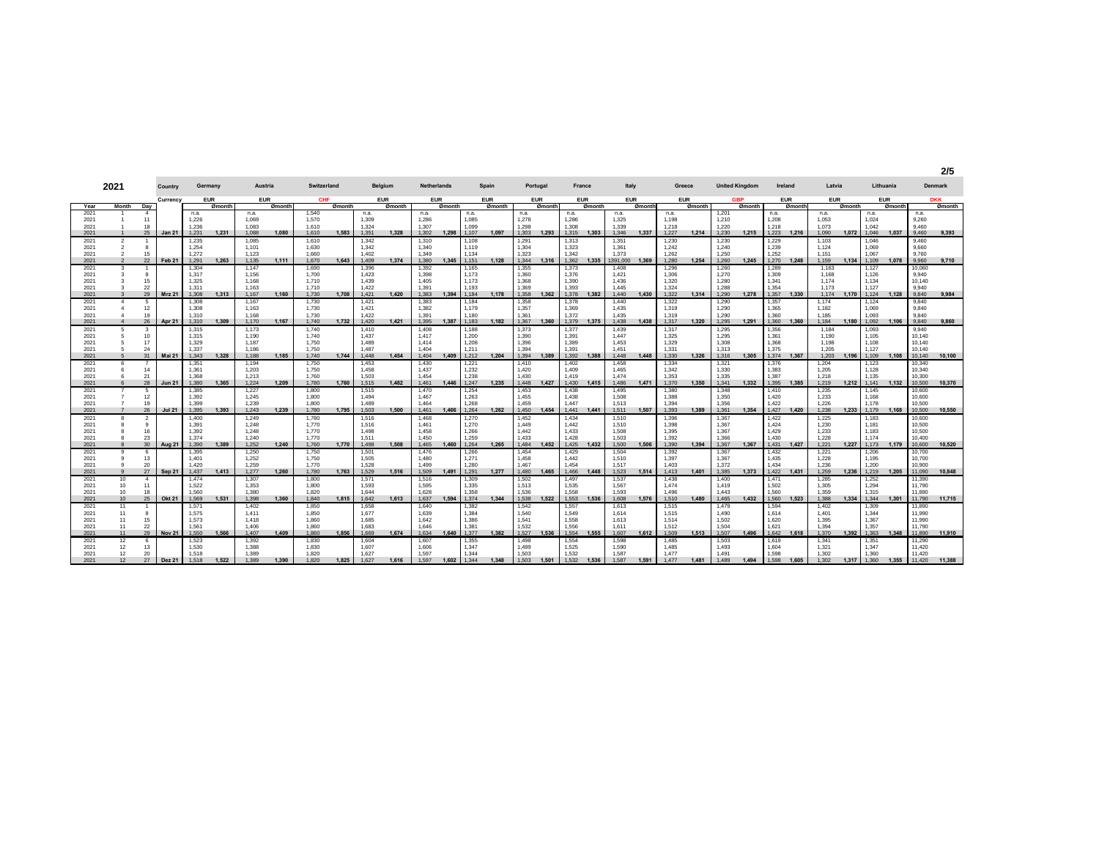**2/5**

|              | 2021                   | Country       | Germany        |        | Austria        |        | Switzerland    |        |                | Belgium    | Netherlands    |        |                | Spain      |                | Portugal   | France         |        | Italy          |        |                | Greece     | <b>United Kingdom</b> |            | Ireland        |            | Latvia         |        |                | Lithuania  |                  | Denmark    |
|--------------|------------------------|---------------|----------------|--------|----------------|--------|----------------|--------|----------------|------------|----------------|--------|----------------|------------|----------------|------------|----------------|--------|----------------|--------|----------------|------------|-----------------------|------------|----------------|------------|----------------|--------|----------------|------------|------------------|------------|
|              |                        | Currency      | <b>EUR</b>     |        | <b>EUR</b>     |        | <b>CHF</b>     |        |                | <b>EUR</b> | <b>EUR</b>     |        |                | <b>EUR</b> |                | <b>EUR</b> | <b>EUR</b>     |        | <b>EUR</b>     |        |                | <b>EUR</b> |                       | <b>GBP</b> |                | <b>EUR</b> | <b>EUR</b>     |        |                | <b>EUR</b> |                  | <b>DKK</b> |
| Year         | Month<br>Day           |               |                | Ømonth |                | Ømonth |                | Ømonth |                | Ømonth     |                | Ømonth |                | Ømonth     |                | Ømonth     |                | Ømonth |                | Ømonth |                | Ømonth     |                       | Ømonth     |                | Ømonth     |                | Ømonth |                | Ømonth     |                  | Ømonth     |
| 2021         | $\overline{4}$         |               | n.a.           |        | n.a.           |        | 1.540          |        | n.a.           |            | n.a.           |        | n.a.           |            | n.a.           |            | n.a.           |        | n.a.           |        | n.a.           |            | 1.201                 |            | n.a.           |            | n.a.           |        | n.a.           |            | n.a.             |            |
| 2021         |                        |               | 1.226          |        | 1.069          |        | 1.570          |        | 1.309          |            | 1.286          |        | 1.085          |            | 1.278          |            | 1.286          |        | 1.325          |        | 1.198          |            | 1.210                 |            | 1.208          |            | 1.053          |        | 1.024          |            | 9,260            |            |
| 2021<br>2021 | 18<br>25               | <b>Jan 21</b> | 1.236<br>1.231 | 1.231  | 1.083<br>1.088 | 1.080  | 1.610<br>1,610 | 1.583  | 1.324<br>1.351 | 1.328      | 1.307<br>1.302 | 1.298  | 1.099<br>1.107 | 1.097      | 1.298<br>1.303 | 1.293      | 1.308<br>1.315 | 1.303  | 1.339<br>1.346 | 1.337  | 1.218<br>1,227 | 1,214      | 1.220<br>1.230        | 1.215      | 1.218<br>1.223 | 1.216      | 1.073<br>1.090 | 1,072  | 1.042<br>1.046 | 1.037      | 9.460<br>9.460   | 9,393      |
| 2021         |                        |               | 1,235          |        | 1,085          |        | 1,610          |        | 1,342          |            | 1,310          |        | 1,108          |            | 1,291          |            | 1,313          |        | 1,351          |        | 1,230          |            | 1,230                 |            | 1,229          |            | 1.103          |        | 1,046          |            | 9,460            |            |
| 2021         | $\mathbf{a}$           |               | 1.254          |        | 1.101          |        | 1.630          |        | 1.342          |            | 1.340          |        | 1,119          |            | 1.304          |            | 1,323          |        | 1,361          |        | 1.242          |            | 1.240                 |            | 1,239          |            | 1.124          |        | 1.069          |            | 9,660            |            |
| 2021         | 15                     |               | 1.272          |        | 1.123          |        | 1.660          |        | 1.402          |            | 1.349          |        | 1.134          |            | 1.323          |            | 1,342          |        | 1.373          |        | 1,262          |            | 1.250                 |            | 1,252          |            | 1.151          |        | 1.067          |            | 9,760            |            |
| 2021         | 22                     | Feb 21        | 1.291          | 1.263  | 1.135          | 1.111  | 1.670          | 1.643  | 1.409          | 1.374      | 1.380          | 1.345  | 1.151          | 1.128      | 1.344          | 1.316      | 1.362          | 1.335  | 1391.000       | 1.369  | 1.280          | 1.254      | 1.260                 | 1.245      | 1.270          | 1.248      | 1.159          | 1.134  | 1.109          | 1.078      | 9.960            | 9.710      |
| 2021         |                        |               | 1.304          |        | 1.147          |        | 1.690          |        | 1,396          |            | 1,392          |        | 1,165          |            | 1,355          |            | 1,373          |        | 1,408          |        | 1,296          |            | 1,260                 |            | 1,289          |            | 1.163          |        | 1,127          |            | 10,060           |            |
| 2021         | $\mathbf{a}$           |               | 1,317          |        | 1,156          |        | 1,700          |        | 1,423          |            | 1,398          |        | 1,173          |            | 1,360          |            | 1,376          |        | 1,421          |        | 1.306          |            | 1,270                 |            | 1,309          |            | 1.168          |        | 1,126          |            | 9,940            |            |
| 2021<br>2021 | 15<br>22               |               | 1.325<br>1.311 |        | 1.168<br>1.163 |        | 1.710<br>1.710 |        | 1.439<br>1.422 |            | 1.405<br>1.391 |        | 1,173<br>1.193 |            | 1.368<br>1.369 |            | 1.390<br>1.393 |        | 1.436<br>1.445 |        | 1.320<br>1.324 |            | 1.280<br>1.288        |            | 1.341<br>1.354 |            | 1.174<br>1.173 |        | 1.134<br>1.127 |            | 10,140<br>9,940  |            |
| 2021         | 29                     | <b>Mrz 21</b> | 1.308          | 1.313  | 1.167          | 1.160  | 1.730          | 1.708  | 1.421          | 1.420      | 1.383          | 1.394  | 1.184          | 1.178      | 1.358          | 1.362      | 1.378          | 1.382  | 1.440          | 1.430  | 1.322          | 1.314      | 1.290                 | 1.278      | 1.357          | 1.330      | 1.174          | 1.170  | 1.124          | 1.128      | 9,840            | 9,984      |
| 2021         | -5                     |               | 1.308          |        | 1.167          |        | 1.730          |        | 1.421          |            | 1.383          |        | 1,184          |            | 1.358          |            | 1.378          |        | 1.440          |        | 1.322          |            | 1.290                 |            | 1.357          |            | 1.174          |        | 1.124          |            | 9,840            |            |
| 2021         | 12                     |               | 1.308          |        | 1.163          |        | 1.730          |        | 1.421          |            | 1.382          |        | 1.179          |            | 1.357          |            | 1.369          |        | 1.435          |        | 1.319          |            | 1.290                 |            | 1.365          |            | 1.182          |        | 1.069          |            | 9,840            |            |
| 2021         | 19                     |               | 1.310          |        | 1.168          |        | 1.730          |        | 1.422          |            | 1.391          |        | 1.180          |            | 1.361          |            | 1.372          |        | 1.435          |        | 1.319          |            | 1.290                 |            | 1.360          |            | 1.185          |        | 1.093          |            | 9,840            |            |
| 2021         | 26                     | <b>Apr 21</b> | 1.310          | 1.309  | 1.170          | 1.167  | 1.740          | 1.732  | 1.420          | 1.421      | 1.395          | 1.387  | 1.183          | 1.182      | 1.367          | 1.360      | 1.379          | 1.375  | 1.438          | 1.438  | 1.317          | 1.320      | 1.295                 | 1.291      | 1.360          | 1.360      | 1.184          | 1.180  | 1.092          | 1.106      | 9,840            | 9,860      |
| 2021         | $\mathbf{3}$           |               | 1,315          |        | 1,173          |        | 1.740          |        | 1.410          |            | 1,408          |        | 1,188          |            | 1,373          |            | 1,377          |        | 1,439          |        | 1,317          |            | 1,295                 |            | 1,356          |            | 1,184          |        | 1,093          |            | 9,940            |            |
| 2021         | 10<br>17               |               | 1.315<br>1.329 |        | 1.190<br>1.187 |        | 1.740          |        | 1.437          |            | 1.417          |        | 1.200          |            | 1.390<br>1.396 |            | 1,391          |        | 1.447<br>1.453 |        | 1.325          |            | 1.295<br>1.308        |            | 1.361          |            | 1.190<br>1.198 |        | 1.105<br>1.108 |            | 10.140<br>10,140 |            |
| 2021<br>2021 | 24                     |               | 1.337          |        | 1.186          |        | 1,750<br>1.750 |        | 1.489<br>1.487 |            | 1.414<br>1.404 |        | 1,208<br>1.211 |            | 1.394          |            | 1,389<br>1.391 |        | 1.451          |        | 1,329<br>1.331 |            | 1.313                 |            | 1,368<br>1.375 |            | 1.205          |        | 1.127          |            | 10.140           |            |
| 2021         | 31                     | <b>Mai 21</b> | 1.343          | 1.328  | 1.188          | 1.185  | 1.740          | 1.744  | 1.448          | 1.454      | 1.404          | 1.409  | 1.212          | 1.204      | 1.394          | 1.389      | 1.392          | 1.388  | 1.448          | 1.448  | 1.330          | 1.326      | 1.316                 | 1.305      | 1.374          | 1.367      | 1.203          | 1.196  | 1.109          | 1.108      | 10.140           | 10,100     |
| 2021         | $\overline{7}$         |               | 1.351          |        | 1.194          |        | 1.750          |        | 1.453          |            | 1.430          |        | 1,221          |            | 1.410          |            | 1.402          |        | 1.458          |        | 1,334          |            | 1,321                 |            | 1.376          |            | 1.204          |        | 1.123          |            | 10,340           |            |
| 2021         | 14                     |               | 1.361          |        | 1.203          |        | 1.750          |        | 1.458          |            | 1.437          |        | 1.232          |            | 1.420          |            | 1.409          |        | 1.465          |        | 1.342          |            | 1.330                 |            | 1.383          |            | 1.205          |        | 1.128          |            | 10,340           |            |
| 2021         | 21                     |               | 1.368          |        | 1.213          |        | 1.760          |        | 1.503          |            | 1.454          |        | 1,238          |            | 1.430          |            | 1.419          |        | 1.474          |        | 1,353          |            | 1.335                 |            | 1.387          |            | 1.218          |        | 1.135          |            | 10,300           |            |
| 2021         | 28                     | <b>Jun 21</b> | 1.380          | 1.365  | 1.224          | 1.209  | 1.780          | 1.760  | 1.515          | 1,482      | 1.461          | 1.446  | 1.247          | 1.235      | 1.448          | 1.427      | 1.430          | 1.415  | 1.486          | 1.471  | 1.370          | 1.350      | 1.341                 | 1.332      | 1.395          | 1.385      | 1.219          | 1.212  | 1.141          | 1.132      | 10.500           | 10.370     |
| 2021         | -5                     |               | 1,385          |        | 1,227          |        | 1,800          |        | 1,515          |            | 1,470          |        | 1,254          |            | 1,453          |            | 1,438          |        | 1,495          |        | 1,380          |            | 1,348                 |            | 1,410          |            | 1.235          |        | 1.145          |            | 10,600           |            |
| 2021<br>2021 | 12<br>19               |               | 1.392<br>1.399 |        | 1.245<br>1.239 |        | 1.800<br>1.800 |        | 1.494<br>1.489 |            | 1.467<br>1.464 |        | 1,263<br>1.268 |            | 1.455<br>1.459 |            | 1.438<br>1 447 |        | 1,508<br>1.513 |        | 1.388<br>1.394 |            | 1.350<br>1.356        |            | 1.420<br>1.422 |            | 1.233<br>1.226 |        | 1.168<br>1.178 |            | 10,600<br>10,500 |            |
| 2021         | 26                     | <b>Jul 21</b> | 1.395          | 1.393  | 1.243          | 1.239  | 1.780          | 1.795  | 1.503          | 1.500      | 1.461          | 1.466  | 1.264          | 1.262      | 1.450          | 1.454      | 1.441          | 1.441  | 1.511          | 1.507  | 1.393          | 1.389      | 1.361                 | 1.354      | 1.427          | 1.420      | 1.238          | 1.233  | 1.179          | 1.168      | 10.500           | 10.550     |
| 2021         | $\overline{2}$         |               | 1.400          |        | 1.249          |        | 1.780          |        | 1.516          |            | 1.468          |        | 1,270          |            | 1.452          |            | 1.434          |        | 1,510          |        | 1,396          |            | 1.367                 |            | 1.422          |            | 1.225          |        | 1.183          |            | 10,600           |            |
| 2021         |                        |               | 1.391          |        | 1,248          |        | 1,770          |        | 1.516          |            | 1,461          |        | 1,270          |            | 1.449          |            | 1,442          |        | 1,510          |        | 1,398          |            | 1,367                 |            | 1,424          |            | 1,230          |        | 1,181          |            | 10,500           |            |
| 2021         | 16                     |               | 1.392          |        | 1.248          |        | 1.770          |        | 1.498          |            | 1.458          |        | 1.266          |            | 1.442          |            | 1.433          |        | 1.508          |        | 1.395          |            | 1.367                 |            | 1.429          |            | 1.233          |        | 1.183          |            | 10,500           |            |
| 2021         | 23                     |               | 1.374          |        | 1.240          |        | 1.770          |        | 1.511          |            | 1.450          |        | 1.259          |            | 1.433          |            | 1.428          |        | 1.503          |        | 1.392          |            | 1.366                 |            | 1.430          |            | 1.228          |        | 1.174          |            | 10,400           |            |
| 2021         | 30                     | Aug 21        | 1.390          | 1.389  | 1.252          | 1.240  | 1.760          | 1.770  | 1.498          | 1.508      | 1.465          | 1.460  | 1.264          | 1.265      | 1.484          | 1.452      | 1.425          | 1.432  | 1.500          | 1.506  | 1.390          | 1.394      | 1.367                 | 1.367      | 1.431          | 1.427      | 1.221          | 1.227  | 1.173          | 1.179      | 10,600           | 10,520     |
| 2021<br>2021 | -6<br>13               |               | 1.395<br>1.401 |        | 1.250<br>1.252 |        | 1.750<br>1.750 |        | 1.501<br>1.505 |            | 1.476<br>1.480 |        | 1,266<br>1.271 |            | 1.454<br>1.458 |            | 1.429<br>1.442 |        | 1.504<br>1.510 |        | 1.392<br>1.397 |            | 1.367<br>1.367        |            | 1.432<br>1.435 |            | 1.221<br>1.228 |        | 1.206<br>1.195 |            | 10,700<br>10.700 |            |
| 2021         | 20                     |               | 1.420          |        | 1.259          |        | 1.770          |        | 1.528          |            | 1.499          |        | 1.280          |            | 1.467          |            | 1.454          |        | 1.517          |        | 1.403          |            | 1.372                 |            | 1.434          |            | 1.236          |        | 1.200          |            | 10.900           |            |
| 2021         | 27                     | <b>Sep 21</b> | 1.437          | 1.413  | 1.277          | 1.260  | 1.780          | 1.763  | 1.529          | 1.516      | 1.509          | 1.491  | 1.291          | 1.277      | 1.480          | 1.465      | 1.466          | 1.448  | 1.523          | 1.514  | 1.413          | 1.401      | 1.385                 | 1.373      | 1.422          | 1.431      | 1.259          | 1.236  | 1.219          | 1.205      | 11.090           | 10,848     |
| 2021         | 10<br>$\overline{4}$   |               | 1.474          |        | 1.307          |        | 1.800          |        | 1.571          |            | 1.516          |        | 1,309          |            | 1.502          |            | 1.497          |        | 1.537          |        | 1.438          |            | 1.400                 |            | 1.471          |            | 1.285          |        | 1.252          |            | 11.390           |            |
| 2021         | 10<br>11               |               | 1.522          |        | 1.353          |        | 1.800          |        | 1.593          |            | 1.595          |        | 1.335          |            | 1.513          |            | 1.535          |        | 1.567          |        | 1.474          |            | 1.419                 |            | 1.502          |            | 1.305          |        | 1.294          |            | 11.790           |            |
| 2021         | 10<br>18               |               | 1.560          |        | 1.380          |        | 1.820          |        | 1.644          |            | 1.628          |        | 1.358          |            | 1.536          |            | 1.558          |        | 1.593          |        | 1.496          |            | 1.443                 |            | 1.560          |            | 1.359          |        | 1.315          |            | 11,890           |            |
| 2021         | 25<br>10 <sup>10</sup> | <b>Okt 21</b> | 1.569          | 1.531  | 1.398          | 1.360  | 1.840          | 1.815  | 1.642          | 1.613      | 1.637          | 1.594  | 1.374          | 1.344      | 1.538          | 1.522      | 1.553          | 1.536  | 1.608          | 1.576  | 1.510          | 1.480      | 1.465                 | 1.432      | 1.560          | 1.523      | 1.388          | 1.334  | 1.344          | 1.301      | 11.790           | 11.715     |
| 2021<br>2021 | 11<br>11<br>-8         |               | 1.571<br>1.575 |        | 1.402<br>1.411 |        | 1.850<br>1.850 |        | 1.658<br>1.677 |            | 1.640<br>1.639 |        | 1,382<br>1.384 |            | 1.542<br>1.540 |            | 1,557          |        | 1,613          |        | 1.515<br>1.515 |            | 1.479<br>1.490        |            | 1.594<br>1.614 |            | 1.402<br>1.401 |        | 1,309<br>1.344 |            | 11,890<br>11,990 |            |
| 2021         | 15<br>11               |               | 1.573          |        | 1.418          |        | 1.860          |        | 1.685          |            | 1.642          |        | 1.386          |            | 1.541          |            | 1,549<br>1.558 |        | 1,614<br>1.613 |        | 1.514          |            | 1.502                 |            | 1.620          |            | 1.395          |        | 1.367          |            | 11.990           |            |
| 2021         | 22<br>11               |               | 1.561          |        | 1.406          |        | 1.860          |        | 1.683          |            | 1.646          |        | 1.381          |            | 1.532          |            | 1.556          |        | 1.611          |        | 1.512          |            | 1.504                 |            | 1.621          |            | 1.394          |        | 1.357          |            | 11.790           |            |
| 2021         | 11<br>29               | <b>Nov 21</b> | 1.550          | 1.566  | 1.407          | 1.409  | 1.860          | 1.856  | 1.669          | 1.674      | 1.634          | 1.640  | 1.377          | 1.382      | 1.527          | 1.536      | 1.554          | 1.555  | 1.607          | 1.612  | 1.509          | 1.513      | 1.507                 | 1.496      | 1.642          | 1.618      | 1.370          | 1.392  | 1.363          | 1.348      | 11,890           | 11,910     |
| 2021         | 12<br>-6               |               | 1,523          |        | 1,392          |        | 1,830          |        | 1.604          |            | 1,607          |        | 1,355          |            | 1.498          |            | 1,554          |        | 1,598          |        | 1,485          |            | 1,503                 |            | 1.619          |            | 1.341          |        | 1,351          |            | 11,290           |            |
| 2021         | 12<br>13               |               | 1.530          |        | 1,388          |        | 1.830          |        | 1.607          |            | 1,606          |        | 1,347          |            | 1.499          |            | 1,525          |        | 1.590          |        | 1.485          |            | 1.493                 |            | 1,604          |            | 1.321          |        | 1,347          |            | 11,420           |            |
| 2021         | 12<br>20<br>27         |               | 1.518          |        | 1.389          |        | 1.820          |        | 1.627          |            | 1.597<br>1.597 |        | 1.344          |            | 1.503<br>1.503 |            | 1.532<br>1.532 |        | 1.587<br>1.587 |        | 1.477<br>1.477 |            | 1.491<br>1.489        |            | 1.598          |            | 1.302          |        | 1.360          |            | 11.420           |            |
| 2021         |                        | <b>Dez 21</b> | 1.518          | 1.522  | 1.389          | 1.390  | 1.820          | 1.825  | 1.627          | 1.616      |                | 1.602  | 1.344          | 1.348      |                | 1.501      |                | 1.536  |                | 1.591  |                | 1.481      |                       | 1.494      | 1.598          | 1.605      | 1.302          | 1.317  | 1.360          | 1.355      | 11.420           | 11.388     |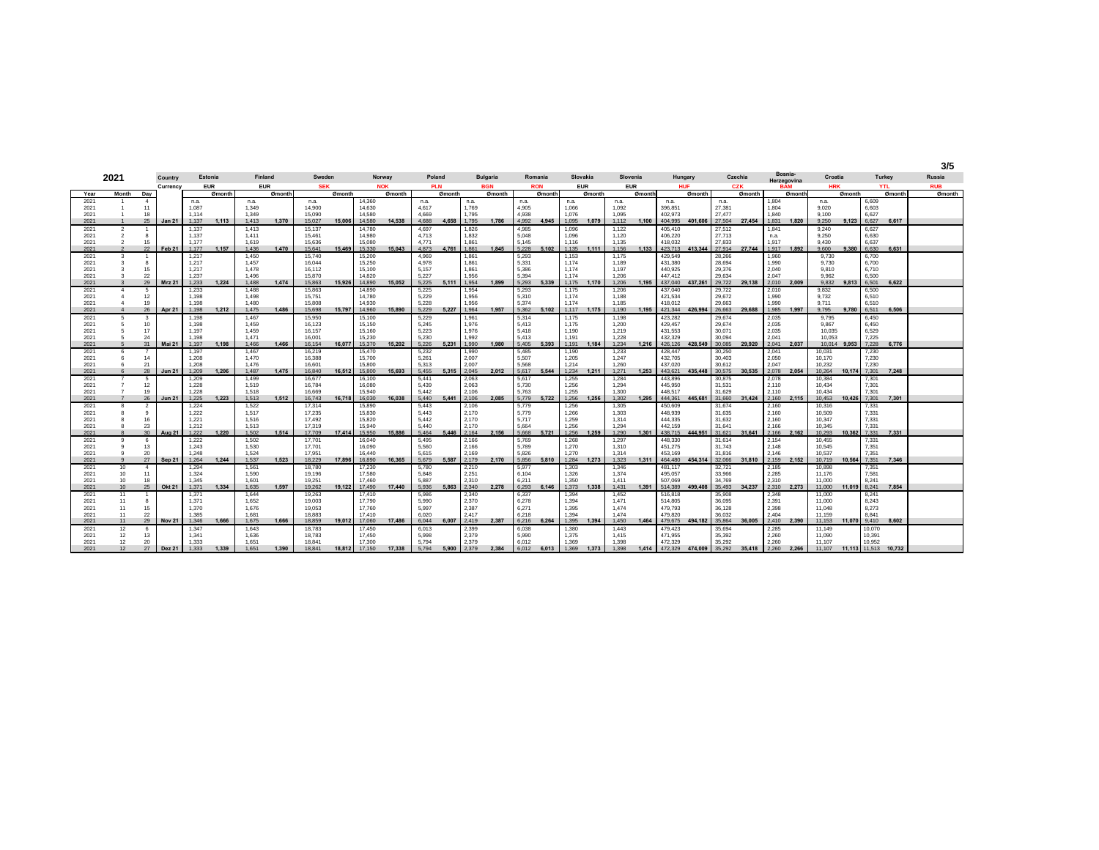**3/5**

|              | 2021                     | Country<br>Currency<br>Day<br>$\overline{4}$<br>n.a. |               |                                        | Estonia |                | <b>Finland</b> | Sweden           |        |                  | Norway     | Poland         |        |                | <b>Bulgaria</b> |                | Romania    |                | Slovakia    | Slovenia       |        |                    | Hungary    |                  | Czechia            |       | Bosnia-<br>Herzegovina | Croatia    |              |                | Turkey     | Russia     |
|--------------|--------------------------|------------------------------------------------------|---------------|----------------------------------------|---------|----------------|----------------|------------------|--------|------------------|------------|----------------|--------|----------------|-----------------|----------------|------------|----------------|-------------|----------------|--------|--------------------|------------|------------------|--------------------|-------|------------------------|------------|--------------|----------------|------------|------------|
|              |                          | <b>EUR</b><br>Month                                  |               |                                        |         |                |                | <b>SEK</b>       |        |                  | <b>NOK</b> | <b>PLN</b>     |        |                | <b>BGN</b>      |                | <b>RON</b> |                | <b>EUR</b>  | <b>EUR</b>     |        |                    | <b>HUF</b> |                  | CZK                |       | <b>BAM</b>             | <b>HRK</b> |              |                | <b>YTL</b> | <b>RUB</b> |
| Year         |                          |                                                      |               | <b>EUR</b><br>Ømonth<br>Ømonth<br>n.a. |         |                |                |                  | Ømonth |                  | Ømonth     |                | Ømonth |                | Ømonth          |                | Ømonth     |                | Ømonth      |                | Ømonth |                    | Ømonth     |                  | Ømonth             |       | Ømonth                 |            | Ømonth       |                | Ømonth     | Ømonth     |
| 2021         |                          |                                                      |               |                                        |         |                |                | n.a.             |        | 14,360           |            | n.a.           |        | n.a.           |                 | n.a.           |            | n.a.           |             | n.a.           |        | n.a.               |            | n.a.             |                    | 1.804 |                        | n.a.       |              | 6,609          |            |            |
| 2021         |                          | 11                                                   |               | 1.087                                  |         | 1.349          |                | 14,900           |        | 14,630           |            | 4.617          |        | 1.769          |                 | 4.905          |            | 1.066          |             | 1.092          |        | 396.851            |            | 27.381           |                    | 1.804 |                        | 9.020      |              | 6.603          |            |            |
| 2021         |                          | 18                                                   |               | 1.114                                  |         | 1.349          |                | 15.090           |        | 14,580           |            | 4.669          |        | 1.795          |                 | 4.938          |            | 1.076          |             | 1.095          |        | 402.973            |            | 27,477           |                    | 1.840 |                        | 9.100      |              | 6.627          |            |            |
| 2021         |                          | 25                                                   | <b>Jan 21</b> | 1.137                                  | 1.113   | 1.413          | 1.370          | 15,027           | 15,006 | 14.580           | 14.538     | 4.688          | 4.658  | 1.795          | 1.786           | 4.992          | 4.945      | 1.095          | 1.079       | 1.112          | 1.100  | 404.995            | 401.606    | 27,504           | 27.454             | 1.831 | 1.820                  | 9.250      | 9.123        | 6.627          | 6.617      |            |
| 2021         | $\overline{2}$           | -1                                                   |               | 1.137                                  |         | 1.413          |                | 15.137           |        | 14.780           |            | 4.697          |        | 1.826          |                 | 4.985          |            | 1.096          |             | 1.122          |        | 405.410            |            | 27.512           |                    | 1.841 |                        | 9.240      |              | 6.627          |            |            |
| 2021         | $\mathcal{P}$            | 8                                                    |               | 1.137                                  |         | 1.411          |                | 15.461           |        | 14.980           |            | 4.713          |        | 1.832          |                 | 5.048          |            | 1.096          |             | 1.120          |        | 406,220            |            | 27.713           |                    | n.a.  |                        | 9.250      |              | 6.630          |            |            |
| 2021         | $\mathcal{P}$            | 15                                                   |               | 1.177                                  |         | 1.619          |                | 15.636           |        | 15.080           |            | 4.771          |        | 1.861          |                 | 5.145          |            | 1.116          |             | 1.135          |        | 418.032            |            | 27.833           |                    | 1.917 |                        | 9.430      |              | 6.637          |            |            |
| 2021         | $\overline{\phantom{a}}$ | 22                                                   | Feb 21        | 1.177                                  | 1.157   | 1.436          | 1.470          | 15,641           | 15,469 | 15,330           | 15.043     | 4.873          | 4.761  | 1.861          | 1.845           | 5.228          | 5.102      | 1.135          | 1.111       | 1.156          | 1.133  | 423,713            | 413,344    | 27.914           | 27,744             | 1.917 | 1.892                  | 9.600      | 9,380        | 6.630          | 6.631      |            |
| 2021         | 3                        |                                                      |               | 1.217                                  |         | 1.450          |                | 15,740           |        | 15,200           |            | 4.969          |        | 1,86           |                 | 5,293          |            | 1,153          |             | 1.175          |        | 429.549            |            | 28,266           |                    | 1.960 |                        | 9.730      |              | 6,700          |            |            |
| 2021         | 3                        | 8                                                    |               | 1.217                                  |         | 1.457          |                | 16,044           |        | 15,250           |            | 4,978          |        | 1,861          |                 | 5,331          |            | 1,174          |             | 1,189          |        | 431,380            |            | 28,694           |                    | 1.990 |                        | 9,730      |              | 6,700          |            |            |
| 2021         |                          | 15                                                   |               | 1.217                                  |         | 1.478          |                | 16.112           |        | 15.100           |            | 5.157          |        | 1.861          |                 | 5,386          |            | 1.174          |             | 1.197          |        | 440.925            |            | 29,376           |                    | 2.040 |                        | 9.810      |              | 6.710          |            |            |
| 2021         | 3                        | 22                                                   |               | 1.237                                  |         | 1.496          |                | 15,870           |        | 14,820           |            | 5.227          |        | 1.956          |                 | 5.394          |            | 1.174          |             | 1.206          |        | 447.412            |            | 29.634           |                    | 2.047 |                        | 9.962      |              | 6,500          |            |            |
| 2021         | $\mathbf{3}$             | 29                                                   | <b>Mrz 21</b> | 1.233                                  | 1.224   | 1.488          | 1.474          | 15,863           | 15,926 | 14,890           | 15.052     | 5.225          | 5.111  | 1.954          | 1.899           | 5.293          | 5.339      | 1.175          | 1.170       | 1.206          | 1.195  | 437.040            | 437.261    | 29,722           | 29.138             |       | 2.010 2.009            | 9.832      | 9.813        | 6.501          | 6.622      |            |
| 2021         | $\overline{4}$           | 5                                                    |               | 1.233                                  |         | 1.488          |                | 15,863           |        | 14,890           |            | 5,225          |        | 1.954          |                 | 5,293          |            | 1,175          |             | 1.206          |        | 437.040            |            | 29,722           |                    | 2.010 |                        | 9.832      |              | 6,500          |            |            |
| 2021         | $\Delta$                 | 12                                                   |               | 1.198                                  |         | 1.498          |                | 15.751           |        | 14.780           |            | 5.229          |        | 1.956          |                 | 5.310          |            | 1.174          |             | 1.188          |        | 421.534            |            | 29.672           |                    | 1.990 |                        | 9.732      |              | 6.510          |            |            |
| 2021         |                          | 19                                                   |               | 1.198                                  |         | 1.480          |                | 15.808           |        | 14.930           |            | 5.228          |        | 1.956<br>1.964 |                 | 5.374          |            | 1.174          |             | 1.185          |        | 418.012            |            | 29.663           |                    | 1.990 |                        | 9.711      |              | 6.510          |            |            |
| 2021         |                          | 26                                                   | Apr 21        | 1.198                                  | 1.212   | 1.475          | 1.486          | 15,698           | 15,797 | 14,960           | 15,890     | 5.229          | 5.227  |                | 1.957           | 5.362          | 5.102      |                | 1.117 1.175 | 1.190          | 1.195  | 421.344            | 426,994    | 26,663           | 29,688             | 1.985 | 1.997                  | 9.795      | 9.780        | 6.511          | 6.506      |            |
| 2021         | 5                        | 3                                                    |               | 1.198                                  |         | 1.467          |                | 15,950           |        | 15.100           |            | 5,229          |        | 1,961          |                 | 5,314          |            | 1,175          |             | 1.198          |        | 423,282            |            | 29.674           |                    | 2,035 |                        | 9.795      |              | 6.450          |            |            |
| 2021         |                          | 10                                                   |               | 1.198                                  |         | 1.459          |                | 16,123           |        | 15.150           |            | 5,245          |        | 1.976          |                 | 5,413          |            | 1,175          |             | 1,200          |        | 429,457            |            | 29,674           |                    | 2,035 |                        | 9.867      |              | 6,450          |            |            |
| 2021         | 5                        | 17<br>24                                             |               | 1.197                                  |         | 1.459<br>1.471 |                | 16.157           |        | 15.160<br>15.230 |            | 5.223<br>5.230 |        | 1.976<br>1.992 |                 | 5.418          |            | 1.190<br>1.191 |             | 1.219          |        | 431.553<br>432.329 |            | 30.071<br>30.094 |                    | 2.035 |                        | 10.035     |              | 6.529<br>7.225 |            |            |
| 2021<br>2021 | $\overline{5}$           | 31                                                   | Mai 21        | 1.198<br>1.197                         | 1.198   | 1.466          | 1.466          | 16.001<br>16.154 | 16,077 | 15.370           | 15,202     | 5.226          | 5.231  | 1.990          | 1.980           | 5.413<br>5.405 | 5.393      | 1.191          | 1.184       | 1.228<br>1.234 | 1.216  | 426.126            | 428,549    | 30,085           | 29.920             | 2.041 | 2.041 2.037            | 10.053     | 10.014 9.953 | 7.228          | 6.776      |            |
|              |                          |                                                      |               |                                        |         | 1.467          |                | 16.219           |        | 15,470           |            | 5.232          |        |                |                 | 5.485          |            |                |             | 1.233          |        | 428.447            |            | 30,250           |                    | 2.041 |                        | 10.031     |              |                |            |            |
| 2021         | 6                        | 14                                                   |               | 1.197<br>1.208                         |         | 1.470          |                | 16,388           |        | 15.700           |            | 5.261          |        | 1.990<br>2.007 |                 | 5.507          |            | 1,190<br>1.205 |             | 1.247          |        | 432.705            |            | 30.403           |                    | 2.050 |                        | 10.170     |              | 7,230<br>7.230 |            |            |
| 2021<br>2021 |                          | 21                                                   |               | 1.208                                  |         | 1.476          |                | 16.601           |        | 15,800           |            | 5.313          |        | 2.007          |                 | 5.568          |            | 1.214          |             | 1.260          |        | 437.020            |            | 30.612           |                    | 2.047 |                        | 10.232     |              | 7.230          |            |            |
| 2021         |                          | 28                                                   | <b>Jun 21</b> | 1.209                                  | 1.206   | 1.487          | 1.475          | 16,840           | 16,512 | 15,800           | 15,693     | 5.455          | 5.315  | 2.045          | 2.012           | 5.617          | 5.544      | 1.234          | 1.211       | 1.271          | 1.253  | 443.621            | 435,448    | 30,575           | 30.535             |       | 2.078 2.054            | 10.264     | 10.174       | 7.301          | 7.248      |            |
| 2021         |                          | 5                                                    |               | 1.209                                  |         | 1.499          |                | 16.677           |        | 16.100           |            | 5.441          |        | 2,063          |                 | 5.617          |            | 1,255          |             | 1.284          |        | 443.896            |            | 30,875           |                    | 2.078 |                        | 10.384     |              | 7,301          |            |            |
| 2021         |                          | 12                                                   |               | 1.228                                  |         | 1.519          |                | 16,784           |        | 16,080           |            | 5.439          |        | 2.063          |                 | 5.730          |            | 1.256          |             | 1.294          |        | 445.950            |            | 31.531           |                    | 2.110 |                        | 10.434     |              | 7,301          |            |            |
| 2021         |                          | 19                                                   |               | 1.228                                  |         | 1.518          |                | 16,669           |        | 15.940           |            | 5.442          |        | 2.106          |                 | 5.763          |            | 1.255          |             | 1.300          |        | 448.517            |            | 31.629           |                    | 2.110 |                        | 10.434     |              | 7.301          |            |            |
| 2021         |                          | 26                                                   | <b>Jun 21</b> | 1.225                                  | 1.223   | 1.513          | 1.512          | 16,743           | 16,718 | 16.030           | 16.038     | 5.440          | 5.441  | 2.106          | 2.085           | 5,779          | 5.722      | 1.256          | 1.256       | 1.302          | 1.295  | 444.361            | 445.681    | 31,660           | 31,424             |       | 2.160 2.115            | 10.453     | 10,426       | 7.301          | 7.301      |            |
| 2021         |                          | 2                                                    |               | 1,224                                  |         | 1,522          |                | 17,314           |        | 15,890           |            | 5.443          |        | 2,106          |                 | 5,779          |            | 1,256          |             | 1,305          |        | 450,609            |            | 31,674           |                    | 2,160 |                        | 10.316     |              | 7,331          |            |            |
| 2021         |                          | 9                                                    |               | 1.222                                  |         | 1.517          |                | 17.235           |        | 15,830           |            | 5.443          |        | 2.170          |                 | 5,779          |            | 1.266          |             | 1.303          |        | 448.939            |            | 31.635           |                    | 2.160 |                        | 10.509     |              | 7,331          |            |            |
| 2021         |                          | 16                                                   |               | 1.221                                  |         | 1.516          |                | 17.492           |        | 15.820           |            | 5.442          |        | 2.170          |                 | 5.717          |            | 1.259          |             | 1.314          |        | 444.335            |            | 31.632           |                    | 2.160 |                        | 10.347     |              | 7.331          |            |            |
| 2021         |                          | 23                                                   |               | 1.212                                  |         | 1.513          |                | 17,319           |        | 15,940           |            | 5.440          |        | 2.170          |                 | 5.664          |            | 1.256          |             | 1.294          |        | 442.159            |            | 31.641           |                    | 2.166 |                        | 10.345     |              | 7.331          |            |            |
| 2021         | $\mathbf{a}$             | 30                                                   | Aug 21        | 1.222                                  | 1.220   | 1.502          | 1.514          | 17,709           | 17,414 | 15,950           | 15,886     | 5.464          | 5.446  | 2.164          | 2.156           | 5.668          | 5.721      | 1.256          | 1.259       | 1.290          | 1.301  | 438,715            | 444,951    | 31.621 31.641    |                    |       | 2.166 2.162            | 10.293     | 10.362       | 7.331          | 7.331      |            |
| 2021         | -9                       | -6                                                   |               | 1.222                                  |         | 1.502          |                | 17,701           |        | 16,040           |            | 5.495          |        | 2,166          |                 | 5,769          |            | 1,268          |             | 1.297          |        | 448.330            |            | 31,614           |                    | 2,154 |                        | 10.455     |              | 7,331          |            |            |
| 2021         | $\mathbf{q}$             | 13                                                   |               | 1.243                                  |         | 1.530          |                | 17.701           |        | 16,090           |            | 5.560          |        | 2.166          |                 | 5.789          |            | 1.270          |             | 1.310          |        | 451.275            |            | 31.743           |                    | 2.148 |                        | 10.545     |              | 7,351          |            |            |
| 2021         | -9                       | 20 <sub>0</sub>                                      |               | 1.248                                  |         | 1.524          |                | 17.951           |        | 16.440           |            | 5.615          |        | 2.169          |                 | 5.826          |            | 1.270          |             | 1.314          |        | 453.169            |            | 31,816           |                    | 2.146 |                        | 10.537     |              | 7.351          |            |            |
| 2021         | $\alpha$                 | 27                                                   | <b>Sep 21</b> | 1.264                                  | 1.244   | 1.537          | 1.523          | 18,229           | 17.896 | 16.890           | 16.365     | 5.679          | 5.587  | 2.179          | 2.170           | 5.856          | 5.810      | 1.284          | 1.273       | 1.323          | 1.311  | 464,480            | 454.314    | 32.066           | 31,810             | 2.159 | 2.152                  | 10.719     | 10.564       | 7.351          | 7.346      |            |
| 2021         | 10                       | $\boldsymbol{A}$                                     |               | 1.294                                  |         | 1.561          |                | 18,780           |        | 17,230           |            | 5.780          |        | 2,210          |                 | 5,977          |            | 1,303          |             | 1.346          |        | 481,117            |            | 32,721           |                    | 2,185 |                        | 10.898     |              | 7,351          |            |            |
| 2021         | 10 <sup>1</sup>          | 11                                                   |               | 1.324                                  |         | 1.590          |                | 19.196           |        | 17,580           |            | 5.848          |        | 2,251          |                 | 6,104          |            | 1,326          |             | 1.374          |        | 495,057            |            | 33,966           |                    | 2,285 |                        | 11.176     |              | 7,581          |            |            |
| 2021         | 10                       | 18                                                   |               | 1.345                                  |         | 1.601          |                | 19.251           |        | 17,460           |            | 5.887          |        | 2.310          |                 | 6.211          |            | 1.350          |             | 1.411          |        | 507.069            |            | 34.769           |                    | 2.310 |                        | 11,000     |              | 8.241          |            |            |
| 2021         | 10 <sup>10</sup>         | 25                                                   | <b>Okt 21</b> | 1.371                                  | 1.334   | 1.635          | 1.597          | 19,262           | 19.122 | 17,490           | 17,440     | 5.936          | 5.863  | 2.340          | 2.278           | 6.293          | 6.146      | 1.373          | 1.338       | 1.431          | 1.391  | 514.389            | 499,408    | 35,493           | 34.237             |       | 2.310 2.273            | 11,000     | 11.019       | 8.241          | 7.854      |            |
| 2021         | 11                       |                                                      |               | 1.371                                  |         | 1.644          |                | 19.263           |        | 17,410           |            | 5,986          |        | 2,340          |                 | 6.337          |            | 1,394          |             | 1.452          |        | 516,818            |            | 35,908           |                    | 2.348 |                        | 11,000     |              | 8,241          |            |            |
| 2021         | 11                       | 8                                                    |               | 1.371                                  |         | 1.652          |                | 19,003           |        | 17.790           |            | 5.990          |        | 2,370          |                 | 6.278          |            | 1.394          |             | 1.471          |        | 514.805            |            | 36.095           |                    | 2,391 |                        | 11,000     |              | 8,243          |            |            |
| 2021         | 11                       | 15                                                   |               | 1.370                                  |         | 1.676          |                | 19.053           |        | 17,760           |            | 5.997          |        | 2.387          |                 | 6.271          |            | 1.395          |             | 1.474          |        | 479.793            |            | 36.128           |                    | 2.398 |                        | 11.048     |              | 8.273          |            |            |
| 2021         | 11                       | 22                                                   |               | 1.385                                  |         | 1.681          |                | 18.883           |        | 17.410           |            | 6.020          |        | 2417           |                 | 6.218          |            | 1.394          |             | 1.474          |        | 479.820            |            | 36.032           |                    | 2.404 |                        | 11.159     |              | 8.841          |            |            |
| 2021         | 11                       | 29                                                   | <b>Nov 21</b> | 1.346                                  | 1.666   | 1.675          | 1.666          | 18,859           | 19,012 | 17,060           | 17,486     | 6.044          | 6.007  | 2.419          | 2.387           | 6.216          | 6.264      | 1.395          | 1.394       | 1.450          | 1.464  | 479.675            | 494.182    | 35,864           | 36,005             |       | 2.410 2.390            | 11.153     | 11.070       | 9.410          | 8.602      |            |
| 2021         | 12                       | 6                                                    |               | 1.347                                  |         | 1.643          |                | 18,783           |        | 17.450           |            | 6.013          |        | 2,399          |                 | 6.038          |            | 1,380          |             | 1.443          |        | 479.423            |            | 35,694           |                    | 2,285 |                        | 11.149     |              | 10,070         |            |            |
| 2021         | 12                       | 13                                                   |               | 1.341                                  |         | 1.636          |                | 18.783           |        | 17.450           |            | 5.998          |        | 2,379          |                 | 5,990          |            | 1.375          |             | 1.415          |        | 471.955            |            | 35,392           |                    | 2,260 |                        | 11.090     |              | 10,391         |            |            |
| 2021         | 12                       | 20                                                   |               | 1.333                                  |         | 1.651          |                | 18.841           |        | 17,300           |            | 5.794          |        | 2.379          |                 | 6.012          |            | 1.369          |             | 1.398          |        | 472.329            |            | 35.292           |                    | 2.260 |                        | 11.107     |              | 10.952         |            |            |
| 2021         | 12                       | 27                                                   | <b>Dez 21</b> | 1.333                                  | 1.339   | 1.651          | 1.390          | 18,841           |        | 18.812 17.150    | 17,338     | 5.794          | 5.900  | 2.379          | 2.384           | 6.012          | 6.013      | 1.369          | 1.373       | 1.398          | 1.414  | 472,329            | 474.009    | 35,292           | 35,418 2,260 2,266 |       |                        | 11.107     |              | 11.113 11.513  | 10.732     |            |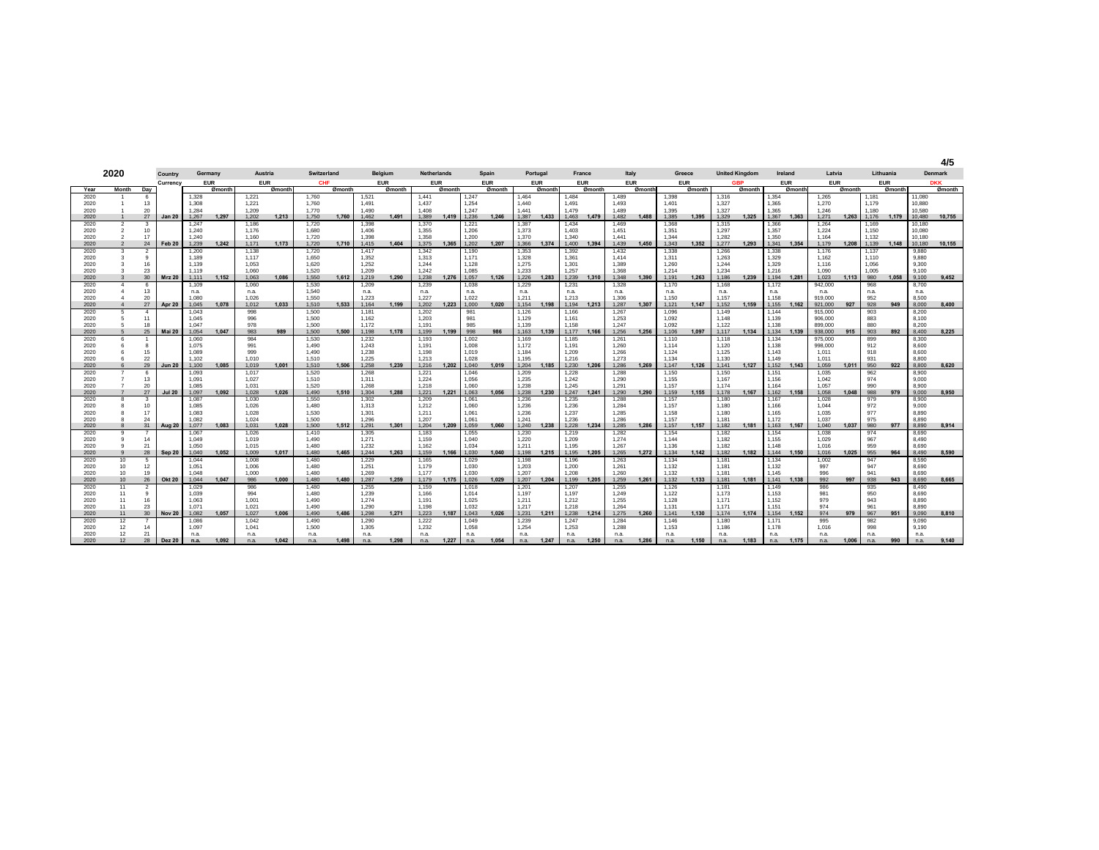|              |                                  |                    |               |                |            |                |            |                |        |                |            |                    |        |                |            |                |            |                |            |                |        |                |            |                |                       |                |             |                    |        |                |            |                  | 4/5            |
|--------------|----------------------------------|--------------------|---------------|----------------|------------|----------------|------------|----------------|--------|----------------|------------|--------------------|--------|----------------|------------|----------------|------------|----------------|------------|----------------|--------|----------------|------------|----------------|-----------------------|----------------|-------------|--------------------|--------|----------------|------------|------------------|----------------|
|              | 2020                             |                    | Country       |                | Germany    |                | Austria    | Switzerland    |        |                | Belgium    | <b>Netherlands</b> |        |                | Spain      | Portugal       |            |                | France     | Italy          |        |                | Greece     |                | <b>United Kinadom</b> |                | Ireland     | Latvia             |        |                | Lithuania  |                  | <b>Denmark</b> |
|              |                                  |                    | Currency      |                | <b>EUR</b> |                | <b>EUR</b> | CHF            |        |                | <b>EUR</b> | <b>EUR</b>         |        |                | <b>EUR</b> |                | <b>EUR</b> |                | <b>EUR</b> | <b>EUR</b>     |        |                | <b>EUR</b> |                | <b>GBP</b>            |                | <b>EUR</b>  | <b>EUR</b>         |        |                | <b>EUR</b> |                  | <b>DKK</b>     |
| Year         | Month                            | Day                |               |                | Ømonth     |                | Ømonth     |                | Ømonth |                | Ømonth     |                    | Ømonth |                | Ømonth     |                | Ømonth     |                | Ømonth     |                | Ømonth |                | Ømonth     |                | Ømonth                |                | Ømonth      |                    | Ømonth |                | Ømonth     |                  | Ømonth         |
| 2020         |                                  | 6                  |               | 1,328          |            | 1,221          |            | 1,760          |        | 1,521          |            | 1,441              |        | 1,247          |            | 1,464          |            | 1,484          |            | 1,489          |        | 1,398          |            | 1,316          |                       | 1,354          |             | 1,265              |        | 1,181          |            | 11,080           |                |
| 2020<br>2020 | -1<br>$\overline{1}$             | 13<br>20           |               | 1.308<br>1.284 |            | 1,221<br>1.209 |            | 1,760<br>1.770 |        | 1.491<br>1.490 |            | 1,437<br>1.408     |        | 1,254<br>1.247 |            | 1.440<br>1.441 |            | 1,491<br>1.479 |            | 1.493<br>1.489 |        | 1.401<br>1.395 |            | 1,327<br>1.327 |                       | 1,365<br>1.365 |             | 1,270<br>1.246     |        | 1.179<br>1.180 |            | 10.880<br>10,580 |                |
| 2020         | $\mathbf{1}$                     | 27                 | <b>Jan 20</b> | 1,267          | 1.297      | 1.202          | 1.213      | 1.750          | 1.760  | 1,462          | 1.491      | 1.389              | 1.419  | 1,236          | 1.246      | 1,387          | 1.433      | 1.463          | 1.479      | 1.482          | 1.488  | 1,385          | 1.395      | 1.329          | 1.325                 | 1.367          | 1.363       | 1,271              | 1.263  | 1.176          | 1.179      | 10.480           | 10,755         |
| 2020         | $\overline{a}$                   | $\mathbf{3}$       |               | 1.247          |            | 1.186          |            | 1.720          |        | 1.398          |            | 1,370              |        | 1,221          |            | 1,387          |            | 1.434          |            | 1.469          |        | 1.368          |            | 1.315          |                       | 1.366          |             | 1.264              |        | 1.169          |            | 10.180           |                |
| 2020         | $\overline{2}$                   | 10                 |               | 1.240          |            | 1.176          |            | 1.680          |        | 1.406          |            | 1.355              |        | 1.206          |            | 1.373          |            | 1.403          |            | 1.451          |        | 1.351          |            | 1.297          |                       | 1.357          |             | 1.224              |        | 1.150          |            | 10.080           |                |
| 2020         | $\overline{2}$                   | 17                 |               | 1.240          |            | 1.160          |            | 1.720          |        | 1.398          |            | 1.358              |        | 1.200          |            | 1.370          |            | 1.340          |            | 1.441          |        | 1.344          |            | 1.282          |                       | 1.350          |             | 1.164              |        | 1.132          |            | 10.180           |                |
| 2020         | $\overline{2}$                   | 24                 | Feb 20        | 1.239          | 1.242      | 1.171          | 1.173      | 1.720          | 1.710  | 1.415          | 1,404      | 1.375              | 1.365  | 1.202          | 1.207      | 1.366          | 1.374      | 1.400          | 1.394      | 1.439          | 1.450  | 1.343          | 1.352      | 1.277          | 1.293                 | 1.341          | 1.354       | 1.179              | 1.208  | 1.139          | 1.148      | 10.180           | 10,155         |
| 2020         | 3                                | $\overline{2}$     |               | 1.200          |            | 1.138          |            | 1,720          |        | 1,417          |            | 1,342              |        | 1,190          |            | 1,353          |            | 1,392          |            | 1,432          |        | 1,338          |            | 1,266          |                       | 1,338          |             | 1.176              |        | 1.137          |            | 9,880            |                |
| 2020         | $\mathbf{3}$                     | $\mathbf{q}$       |               | 1.189          |            | 1.117          |            | 1,650          |        | 1,352          |            | 1,313              |        | 1.171          |            | 1,328          |            | 1,361          |            | 1.414          |        | 1,311          |            | 1,263          |                       | 1,329          |             | 1,162              |        | 1.110          |            | 9,880            |                |
| 2020         | $\mathbf{3}$                     | 16<br>23           |               | 1.139          |            | 1.053          |            | 1.620          |        | 1.252          |            | 1.244              |        | 1.128          |            | 1.275          |            | 1.301          |            | 1.389          |        | 1.260          |            | 1.244          |                       | 1.329          |             | 1.116              |        | 1.056          |            | 9.300            |                |
| 2020<br>2020 | $\mathbf{3}$<br>$\overline{3}$   | 30                 | <b>Mrz 20</b> | 1.119<br>1.111 | 1.152      | 1.060<br>1.063 | 1,086      | 1.520<br>1.550 | 1.612  | 1.209<br>1.219 | 1.290      | 1.242<br>1.238     | 1,276  | 1.085<br>1.057 | 1.126      | 1.233<br>1.226 | 1.283      | 1.257<br>1.239 | 1.310      | 1.368<br>1.348 | 1,390  | 1.214<br>1.191 | 1.263      | 1.234<br>1.186 | 1.239                 | 1.216<br>1.194 | 1.281       | 1.090<br>1.023     | 1,113  | 1.005<br>980   | 1.058      | 9.100<br>9.100   | 9,452          |
| 2020         | $\overline{4}$                   | 6                  |               | 1,109          |            | 1,060          |            | 1,530          |        | 1,209          |            | 1,239              |        | 1,038          |            | 1,229          |            | 1,231          |            | 1,328          |        | 1,170          |            | 1,168          |                       | 1,172          |             | 942,000            |        | 968            |            | 8,700            |                |
| 2020         | $\overline{4}$                   | 13                 |               | n.a.           |            | n.a.           |            | 1.540          |        | n.a.           |            | n.a.               |        | n.a.           |            | n.a.           |            | n.a.           |            | n.a.           |        | n.a.           |            | n.a.           |                       | n.a.           |             | n.a.               |        | n.a.           |            | n.a.             |                |
| 2020         | $\overline{4}$                   | 20                 |               | 1.080          |            | 1.026          |            | 1.550          |        | 1.223          |            | 1.227              |        | 1.022          |            | 1.211          |            | 1.213          |            | 1.306          |        | 1.150          |            | 1.157          |                       | 1.158          |             | 919,000            |        | 952            |            | 8.500            |                |
| 2020         | $\overline{4}$                   | 27                 | Apr 20        | 1.045          | 1.078      | 1.012          | 1.033      | 1.510          | 1.533  | 1.164          | 1.199      | 1.202              | 1.223  | 1.000          | 1.020      | 1.154          | 1.198      | 1.194          | 1.213      | 1.287          | 1.307  | 1.121          | 1.147      | 1.152          | 1.159                 |                | 1.155 1.162 | 921.000            | 927    | 928            | 949        | 8.000            | 8,400          |
| 2020         | 5                                | $\overline{a}$     |               | 1.043          |            | 998            |            | 1.500          |        | 1.181          |            | 1,202              |        | 981            |            | 1,126          |            | 1,166          |            | 1,267          |        | 1.096          |            | 1.149          |                       | 1.144          |             | 915,000            |        | 903            |            | 8,200            |                |
| 2020         | 5                                | 11                 |               | 1.045          |            | 996            |            | 1,500          |        | 1.162          |            | 1,203              |        | 981            |            | 1,129          |            | 1,161          |            | 1,253          |        | 1.092          |            | 1.148          |                       | 1,139          |             | 906,000            |        | 883            |            | 8.100            |                |
| 2020<br>2020 | 5<br>5 <sub>5</sub>              | 18<br>25           | <b>Mai 20</b> | 1.047<br>1.054 | 1.047      | 978<br>983     | 989        | 1.500<br>1,500 | 1.500  | 1.172<br>1,198 | 1,178      | 1.191<br>1.199     | 1.199  | 985<br>998     | 986        | 1.139<br>1.163 | 1.139      | 1.158<br>1.177 | 1.166      | 1.247<br>1,256 | 1.256  | 1.092<br>1.106 | 1.097      | 1.122<br>1.117 | 1.134                 | 1.138<br>1,134 | 1.139       | 899,000<br>938,000 | 915    | 880<br>903     | 892        | 8.200<br>8,400   | 8,225          |
| 2020         | 6                                | $\mathbf{1}$       |               | 1.060          |            | 984            |            | 1.530          |        | 1.232          |            | 1.193              |        | 1.002          |            | 1.169          |            | 1.185          |            | 1.261          |        | 1.110          |            | 1.118          |                       | 1.134          |             | 975,000            |        | 899            |            | 8.300            |                |
| 2020         | 6                                | 8                  |               | 1,075          |            | 991            |            | 1,490          |        | 1,243          |            | 1,191              |        | 1,008          |            | 1,172          |            | 1,191          |            | 1,260          |        | 1,114          |            | 1,120          |                       | 1,138          |             | 998,000            |        | 912            |            | 8,600            |                |
| 2020         | 6                                | 15                 |               | 1.089          |            | 999            |            | 1.490          |        | 1.238          |            | 1.198              |        | 1.019          |            | 1.184          |            | 1.209          |            | 1.266          |        | 1.124          |            | 1.125          |                       | 1.143          |             | 1.011              |        | 918            |            | 8,600            |                |
| 2020         | 6                                | 22                 |               | 1.102          |            | 1.010          |            | 1.510          |        | 1.225          |            | 1.213              |        | 1.028          |            | 1.195          |            | 1.216          |            | 1.273          |        | 1.134          |            | 1.130          |                       | 1.149          |             | 1.011              |        | 931            |            | 8,800            |                |
| 2020         | 6                                | 29                 | <b>Jun 20</b> | 1.100          | 1.085      | 1.019          | 1.001      | 1,510          | 1.506  | 1.258          | 1.239      | 1,216              | 1.202  | 1.040          | 1.019      | 1.204          | 1.185      | 1.230          | 1.206      | 1.286          | 1.269  | 1.147          | 1.126      | 1.141          | 1.127                 | 1,152          | 1.143       | 1.059              | 1.011  | 950            | 922        | 8,800            | 8,620          |
| 2020         | $\overline{7}$                   | 6                  |               | 1.093          |            | 1,017          |            | 1,520          |        | 1.268          |            | 1,221              |        | 1,046          |            | 1,209          |            | 1,228          |            | 1,288          |        | 1,150          |            | 1,150          |                       | 1,151          |             | 1,035              |        | 962            |            | 8,900            |                |
| 2020<br>2020 | $\overline{7}$<br>$\overline{7}$ | 13<br>20           |               | 1.091<br>1.085 |            | 1.027          |            | 1.510<br>1.520 |        | 1.311<br>1.268 |            | 1.224              |        | 1.056<br>1.060 |            | 1.235<br>1.238 |            | 1.242<br>1.245 |            | 1.290<br>1.291 |        | 1.155<br>1.157 |            | 1.167          |                       | 1.156<br>1.164 |             | 1.042              |        | 974<br>990     |            | 9.000<br>8,900   |                |
| 2020         | $\overline{7}$                   | 27                 | <b>Jul 20</b> | 1.097          | 1.092      | 1.031<br>1.028 | 1.026      | 1.490          | 1.510  | 1.304          | 1.288      | 1.218<br>1.221     | 1.221  | 1.063          | 1.056      | 1.238          | 1.230      | 1.247          | 1.241      | 1.290          | 1.290  | 1.159          | 1.155      | 1.174<br>1.178 | 1.167                 | 1.162          | 1.158       | 1.057<br>1.058     | 1,048  | 988            | 979        | 9.000            | 8,950          |
| 2020         | 8                                | 3                  |               | 1,087          |            | 1,030          |            | 1,550          |        | 1,302          |            | 1,209              |        | 1,061          |            | 1,236          |            | 1,235          |            | 1,288          |        | 1,157          |            | 1,180          |                       | 1,167          |             | 1,028              |        | 979            |            | 8,900            |                |
| 2020         | 8                                | 10                 |               | 1.085          |            | 1,026          |            | 1.480          |        | 1,313          |            | 1,212              |        | 1,060          |            | 1,236          |            | 1,236          |            | 1,284          |        | 1,157          |            | 1,180          |                       | 1,166          |             | 1.044              |        | 972            |            | 9.000            |                |
| 2020         | 8                                | 17                 |               | 1.083          |            | 1.028          |            | 1.530          |        | 1.301          |            | 1.211              |        | 1.061          |            | 1.236          |            | 1.237          |            | 1.285          |        | 1.158          |            | 1.180          |                       | 1.165          |             | 1.035              |        | 977            |            | 8,890            |                |
| 2020         | 8                                | 24                 |               | 1.082          |            | 1.024          |            | 1.500          |        | 1.296          |            | 1.207              |        | 1.061          |            | 1.241          |            | 1.236          |            | 1.286          |        | 1.157          |            | 1.181          |                       | 1.172          |             | 1.037              |        | 975            |            | 8,890            |                |
| 2020         | $\mathbf{a}$                     | 31                 | Aug 20        | 1.077          | 1.083      | 1.031          | 1.028      | 1.500          | 1.512  | 1.291          | 1,301      | 1.204              | 1.209  | 1.059          | 1.060      | 1.240          | 1.238      | 1.228          | 1.234      | 1.285          | 1.286  | 1.157          | 1.157      | 1.182          | 1.181                 | 1.163          | 1.167       | 1.040              | 1.037  | 980            | 977        | 8.890            | 8.914          |
| 2020         | 9                                | $\overline{7}$     |               | 1,067          |            | 1,026          |            | 1,410          |        | 1,305          |            | 1,183              |        | 1,055          |            | 1,230          |            | 1,219          |            | 1,282          |        | 1,154          |            | 1,182          |                       | 1,154          |             | 1,038              |        | 974            |            | 8,690            |                |
| 2020<br>2020 | 9<br>9                           | 14<br>21           |               | 1.049<br>1.050 |            | 1.019<br>1.015 |            | 1.490<br>1.480 |        | 1.271<br>1.232 |            | 1.159<br>1.162     |        | 1.040<br>1.034 |            | 1.220<br>1.211 |            | 1.209<br>1.195 |            | 1.274<br>1.267 |        | 1.144<br>1.136 |            | 1.182<br>1.182 |                       | 1.155<br>1.148 |             | 1.029<br>1.016     |        | 967<br>959     |            | 8.490<br>8.690   |                |
| 2020         | 9                                | 28                 | Sep 20        | 1.040          | 1.052      | 1.009          | 1,017      | 1.480          | 1.465  | 1.244          | 1.263      | 1.159              | 1.166  | 1.030          | 1.040      | 1.198          | 1.215      | 1.195          | 1.205      | 1.265          | 1.272  | 1.134          | 1.142      | 1.182          | 1.182                 | 1.144          | 1.150       | 1.016              | 1,025  | 955            | 964        | 8.490            | 8,590          |
| 2020         | 10                               | 5                  |               | 1.044          |            | 1.008          |            | 1.480          |        | 1,229          |            | 1,165              |        | 1,029          |            | 1,198          |            | 1,196          |            | 1,263          |        | 1,134          |            | 1.181          |                       | 1,134          |             | 1,002              |        | 947            |            | 8,590            |                |
| 2020         | 10                               | 12                 |               | 1.051          |            | 1,006          |            | 1.480          |        | 1,251          |            | 1,179              |        | 1.030          |            | 1,203          |            | 1,200          |            | 1,261          |        | 1,132          |            | 1.181          |                       | 1,132          |             | 997                |        | 947            |            | 8,690            |                |
| 2020         | 10                               | 19                 |               | 1.048          |            | 1.000          |            | 1.480          |        | 1.269          |            | 1.177              |        | 1.030          |            | 1.207          |            | 1.208          |            | 1.260          |        | 1.132          |            | 1.181          |                       | 1.145          |             | 996                |        | 941            |            | 8.690            |                |
| 2020         | 10                               | 26                 | <b>Okt 20</b> | 1,044          | 1.047      | 986            | 1.000      | 1,480          | 1.480  | 1,287          | 1,259      | 1,179              | 1,175  | 1,026          | 1.029      | 1,207          | 1.204      | 1.199          | 1.205      | 1,259          | 1.261  | 1,132          | 1.133      | 1,181          | 1.181                 | 1,141          | 1.138       | 992                | 997    | 938            | 943        | 8.690            | 8,665          |
| 2020         | 11                               | $\overline{2}$     |               | 1.029          |            | 986            |            | 1.480          |        | 1.255          |            | 1.159              |        | 1.018          |            | 1,201          |            | 1,207          |            | 1,255          |        | 1.126          |            | 1.181          |                       | 1.149          |             | 986                |        | 935            |            | 8.490            |                |
| 2020<br>2020 | 11<br>11                         | $\mathbf{q}$<br>16 |               | 1.039<br>1.063 |            | 994<br>1.001   |            | 1.480<br>1.490 |        | 1,239<br>1.274 |            | 1,166<br>1.191     |        | 1.014<br>1.025 |            | 1,197<br>1.211 |            | 1,197<br>1.212 |            | 1,249<br>1.255 |        | 1,122<br>1.128 |            | 1,173<br>1.171 |                       | 1,153<br>1.152 |             | 981<br>979         |        | 950<br>943     |            | 8,690<br>8.890   |                |
| 2020         | 11                               | 23                 |               | 1.071          |            | 1.021          |            | 1.490          |        | 1.290          |            | 1.198              |        | 1.032          |            | 1.217          |            | 1.218          |            | 1.264          |        | 1.131          |            | 1.171          |                       | 1.151          |             | 974                |        | 961            |            | 8,890            |                |
| 2020         | 11                               | 30                 | <b>Nov 20</b> | 1.082          | 1.057      | 1.027          | 1,006      | 1.490          | 1.486  | 1,298          | 1,271      | 1,223              | 1.187  | 1.043          | 1.026      | 1,231          | 1.211      | 1.238          | 1.214      | 1,275          | 1.260  | 1.141          | 1.130      | 1.174          | 1.174                 |                | 1,154 1,152 | 974                | 979    | 967            | 951        | 9.090            | 8,810          |
| 2020         | 12                               | $\overline{7}$     |               | 1.086          |            | 1,042          |            | 1.490          |        | 1,290          |            | 1,222              |        | 1.049          |            | 1,239          |            | 1,247          |            | 1,284          |        | 1.146          |            | 1,180          |                       | 1,171          |             | 995                |        | 982            |            | 9.090            |                |
| 2020         | 12                               | 14                 |               | 1.097          |            | 1.041          |            | 1.500          |        | 1.305          |            | 1.232              |        | 1.058          |            | 1,254          |            | 1.253          |            | 1.288          |        | 1.153          |            | 1.186          |                       | 1.178          |             | 1.016              |        | 998            |            | 9.190            |                |
| 2020         | 12                               | 21                 |               | n.a.           |            | n.a            |            | n.a.           |        | n.a.           |            | n.a.               |        | n.a.           |            | n.a.           |            | n.a.           |            | n.a.           |        | n.a.           |            | n.a.           |                       | n.a.           |             | n.a.               |        | n.a.           |            | n.a.             |                |
| 2020         |                                  | 28                 | <b>Dez 20</b> | n.a.           | 1.092      | n.a.           | 1.042      | n.a.           | 1.498  | n.a.           | 1.298      | n.a.               | 1.227  | n.a.           | 1.054      | n.a.           | 1.247      | n.a.           | 1.250      | n.a.           | 1.286  | n.a.           | 1.150      | n.a.           | 1.183                 | n.a.           | 1.175       | n.a.               | 1.006  | n.a.           | 990        | n.a              | 9,140          |